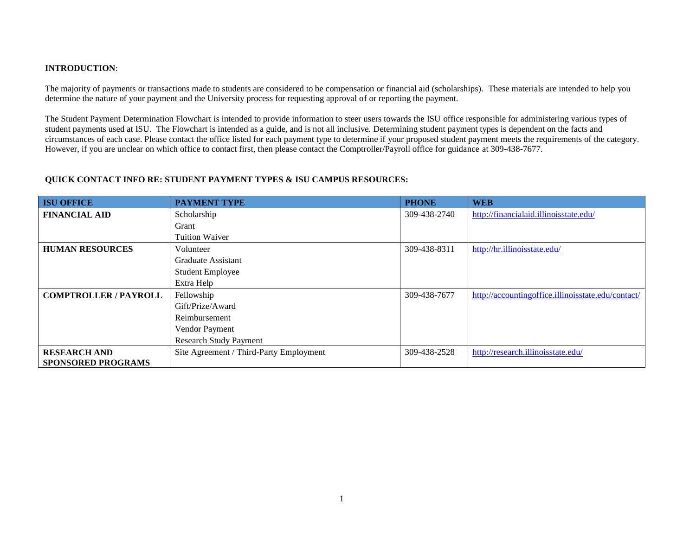## **INTRODUCTION**:

The majority of payments or transactions made to students are considered to be compensation or financial aid (scholarships). These materials are intended to help you determine the nature of your payment and the University process for requesting approval of or reporting the payment.

The Student Payment Determination Flowchart is intended to provide information to steer users towards the ISU office responsible for administering various types of student payments used at ISU. The Flowchart is intended as a guide, and is not all inclusive. Determining student payment types is dependent on the facts and circumstances of each case. Please contact the office listed for each payment type to determine if your proposed student payment meets the requirements of the category. However, if you are unclear on which office to contact first, then please contact the Comptroller/Payroll office for guidance at 309-438-7677.

## **QUICK CONTACT INFO RE: STUDENT PAYMENT TYPES & ISU CAMPUS RESOURCES:**

| <b>ISU OFFICE</b>            | <b>PAYMENT TYPE</b>                     | <b>PHONE</b> | <b>WEB</b>                                         |
|------------------------------|-----------------------------------------|--------------|----------------------------------------------------|
| <b>FINANCIAL AID</b>         | Scholarship                             | 309-438-2740 | http://financialaid.illinoisstate.edu/             |
|                              | Grant                                   |              |                                                    |
|                              | <b>Tuition Waiver</b>                   |              |                                                    |
| <b>HUMAN RESOURCES</b>       | Volunteer                               | 309-438-8311 | http://hr.illinoisstate.edu/                       |
|                              | Graduate Assistant                      |              |                                                    |
|                              | <b>Student Employee</b>                 |              |                                                    |
|                              | Extra Help                              |              |                                                    |
| <b>COMPTROLLER / PAYROLL</b> | Fellowship                              | 309-438-7677 | http://accountingoffice.illinoisstate.edu/contact/ |
|                              | Gift/Prize/Award                        |              |                                                    |
|                              | Reimbursement                           |              |                                                    |
|                              | Vendor Payment                          |              |                                                    |
|                              | <b>Research Study Payment</b>           |              |                                                    |
| <b>RESEARCH AND</b>          | Site Agreement / Third-Party Employment | 309-438-2528 | http://research.illinoisstate.edu/                 |
| <b>SPONSORED PROGRAMS</b>    |                                         |              |                                                    |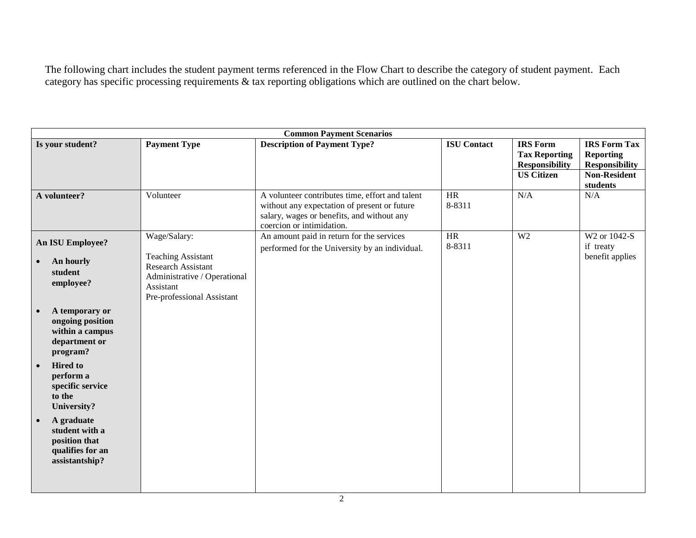The following chart includes the student payment terms referenced in the Flow Chart to describe the category of student payment. Each category has specific processing requirements & tax reporting obligations which are outlined on the chart below.

| <b>Common Payment Scenarios</b>                                                                                                                                                                                                                                                                                                     |                                                                                                                                                   |                                                                                                                                                                            |                    |                                                                                       |                                                                                                     |  |
|-------------------------------------------------------------------------------------------------------------------------------------------------------------------------------------------------------------------------------------------------------------------------------------------------------------------------------------|---------------------------------------------------------------------------------------------------------------------------------------------------|----------------------------------------------------------------------------------------------------------------------------------------------------------------------------|--------------------|---------------------------------------------------------------------------------------|-----------------------------------------------------------------------------------------------------|--|
| Is your student?                                                                                                                                                                                                                                                                                                                    | <b>Payment Type</b>                                                                                                                               | <b>Description of Payment Type?</b>                                                                                                                                        | <b>ISU Contact</b> | <b>IRS</b> Form<br><b>Tax Reporting</b><br><b>Responsibility</b><br><b>US Citizen</b> | <b>IRS Form Tax</b><br><b>Reporting</b><br><b>Responsibility</b><br><b>Non-Resident</b><br>students |  |
| A volunteer?                                                                                                                                                                                                                                                                                                                        | Volunteer                                                                                                                                         | A volunteer contributes time, effort and talent<br>without any expectation of present or future<br>salary, wages or benefits, and without any<br>coercion or intimidation. | HR<br>8-8311       | N/A                                                                                   | N/A                                                                                                 |  |
| <b>An ISU Employee?</b><br>An hourly<br>student<br>employee?<br>A temporary or<br>ongoing position<br>within a campus<br>department or<br>program?<br><b>Hired</b> to<br>$\bullet$<br>perform a<br>specific service<br>to the<br>University?<br>A graduate<br>student with a<br>position that<br>qualifies for an<br>assistantship? | Wage/Salary:<br><b>Teaching Assistant</b><br><b>Research Assistant</b><br>Administrative / Operational<br>Assistant<br>Pre-professional Assistant | An amount paid in return for the services<br>performed for the University by an individual.                                                                                | HR<br>8-8311       | W <sub>2</sub>                                                                        | W2 or 1042-S<br>if treaty<br>benefit applies                                                        |  |
|                                                                                                                                                                                                                                                                                                                                     |                                                                                                                                                   |                                                                                                                                                                            |                    |                                                                                       |                                                                                                     |  |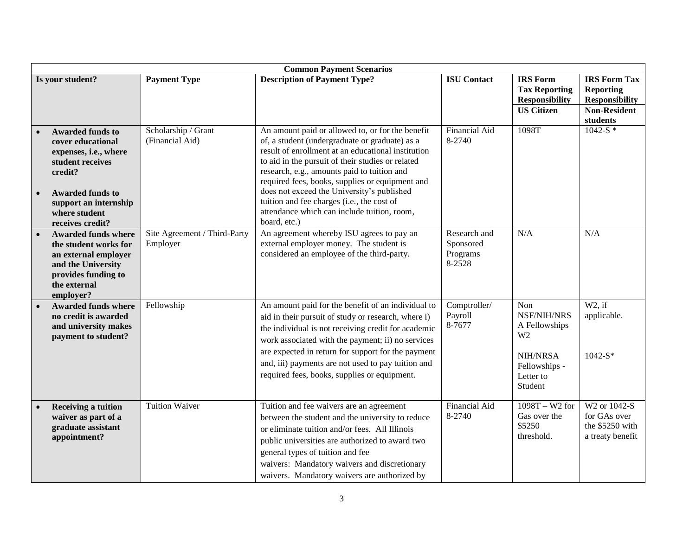| <b>Common Payment Scenarios</b> |                                                                                                                                                                                               |                                          |                                                                                                                                                                                                                                                                                                                                                                                                                                                                            |                                                 |                                                                                                                   |                                                                                         |  |
|---------------------------------|-----------------------------------------------------------------------------------------------------------------------------------------------------------------------------------------------|------------------------------------------|----------------------------------------------------------------------------------------------------------------------------------------------------------------------------------------------------------------------------------------------------------------------------------------------------------------------------------------------------------------------------------------------------------------------------------------------------------------------------|-------------------------------------------------|-------------------------------------------------------------------------------------------------------------------|-----------------------------------------------------------------------------------------|--|
|                                 | Is your student?                                                                                                                                                                              | <b>Payment Type</b>                      | <b>Description of Payment Type?</b>                                                                                                                                                                                                                                                                                                                                                                                                                                        | <b>ISU Contact</b>                              | <b>IRS</b> Form<br><b>Tax Reporting</b><br><b>Responsibility</b><br><b>US Citizen</b>                             | <b>IRS Form Tax</b><br><b>Reporting</b><br><b>Responsibility</b><br><b>Non-Resident</b> |  |
|                                 |                                                                                                                                                                                               |                                          |                                                                                                                                                                                                                                                                                                                                                                                                                                                                            |                                                 |                                                                                                                   | students                                                                                |  |
| $\bullet$                       | <b>Awarded funds to</b><br>cover educational<br>expenses, i.e., where<br>student receives<br>credit?<br><b>Awarded funds to</b><br>support an internship<br>where student<br>receives credit? | Scholarship / Grant<br>(Financial Aid)   | An amount paid or allowed to, or for the benefit<br>of, a student (undergraduate or graduate) as a<br>result of enrollment at an educational institution<br>to aid in the pursuit of their studies or related<br>research, e.g., amounts paid to tuition and<br>required fees, books, supplies or equipment and<br>does not exceed the University's published<br>tuition and fee charges (i.e., the cost of<br>attendance which can include tuition, room,<br>board, etc.) | <b>Financial Aid</b><br>8-2740                  | 1098T                                                                                                             | $1042-S$ *                                                                              |  |
|                                 | <b>Awarded funds where</b><br>the student works for<br>an external employer<br>and the University<br>provides funding to<br>the external<br>employer?                                         | Site Agreement / Third-Party<br>Employer | An agreement whereby ISU agrees to pay an<br>external employer money. The student is<br>considered an employee of the third-party.                                                                                                                                                                                                                                                                                                                                         | Research and<br>Sponsored<br>Programs<br>8-2528 | N/A                                                                                                               | N/A                                                                                     |  |
|                                 | <b>Awarded funds where</b><br>no credit is awarded<br>and university makes<br>payment to student?                                                                                             | Fellowship                               | An amount paid for the benefit of an individual to<br>aid in their pursuit of study or research, where i)<br>the individual is not receiving credit for academic<br>work associated with the payment; ii) no services<br>are expected in return for support for the payment<br>and, iii) payments are not used to pay tuition and<br>required fees, books, supplies or equipment.                                                                                          | Comptroller/<br>Payroll<br>8-7677               | Non<br>NSF/NIH/NRS<br>A Fellowships<br>W <sub>2</sub><br><b>NIH/NRSA</b><br>Fellowships -<br>Letter to<br>Student | $W2$ , if<br>applicable.<br>$1042-S*$                                                   |  |
|                                 | <b>Receiving a tuition</b><br>waiver as part of a<br>graduate assistant<br>appointment?                                                                                                       | <b>Tuition Waiver</b>                    | Tuition and fee waivers are an agreement<br>between the student and the university to reduce<br>or eliminate tuition and/or fees. All Illinois<br>public universities are authorized to award two<br>general types of tuition and fee<br>waivers: Mandatory waivers and discretionary<br>waivers. Mandatory waivers are authorized by                                                                                                                                      | Financial Aid<br>8-2740                         | $1098T - W2$ for<br>Gas over the<br>\$5250<br>threshold.                                                          | W <sub>2</sub> or 1042-S<br>for GAs over<br>the \$5250 with<br>a treaty benefit         |  |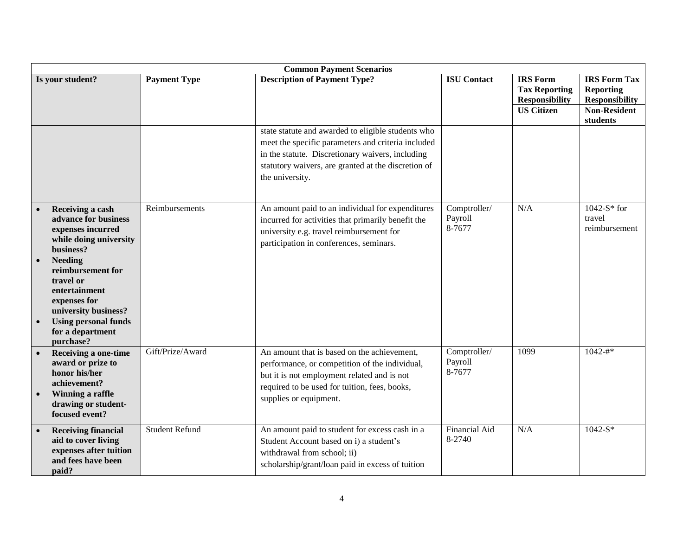|           | <b>Common Payment Scenarios</b>                                                                                                                                                                                                                                                   |                       |                                                                                                                                                                                                                                        |                                   |                                                                                       |                                                                                                     |  |
|-----------|-----------------------------------------------------------------------------------------------------------------------------------------------------------------------------------------------------------------------------------------------------------------------------------|-----------------------|----------------------------------------------------------------------------------------------------------------------------------------------------------------------------------------------------------------------------------------|-----------------------------------|---------------------------------------------------------------------------------------|-----------------------------------------------------------------------------------------------------|--|
|           | Is your student?                                                                                                                                                                                                                                                                  | <b>Payment Type</b>   | <b>Description of Payment Type?</b>                                                                                                                                                                                                    | <b>ISU Contact</b>                | <b>IRS</b> Form<br><b>Tax Reporting</b><br><b>Responsibility</b><br><b>US Citizen</b> | <b>IRS Form Tax</b><br><b>Reporting</b><br><b>Responsibility</b><br><b>Non-Resident</b><br>students |  |
|           |                                                                                                                                                                                                                                                                                   |                       | state statute and awarded to eligible students who<br>meet the specific parameters and criteria included<br>in the statute. Discretionary waivers, including<br>statutory waivers, are granted at the discretion of<br>the university. |                                   |                                                                                       |                                                                                                     |  |
| $\bullet$ | Receiving a cash<br>advance for business<br>expenses incurred<br>while doing university<br>business?<br><b>Needing</b><br>reimbursement for<br>travel or<br>entertainment<br>expenses for<br>university business?<br><b>Using personal funds</b><br>for a department<br>purchase? | Reimbursements        | An amount paid to an individual for expenditures<br>incurred for activities that primarily benefit the<br>university e.g. travel reimbursement for<br>participation in conferences, seminars.                                          | Comptroller/<br>Payroll<br>8-7677 | N/A                                                                                   | $1042-S*$ for<br>travel<br>reimbursement                                                            |  |
|           | Receiving a one-time<br>award or prize to<br>honor his/her<br>achievement?<br>Winning a raffle<br>drawing or student-<br>focused event?                                                                                                                                           | Gift/Prize/Award      | An amount that is based on the achievement,<br>performance, or competition of the individual,<br>but it is not employment related and is not<br>required to be used for tuition, fees, books,<br>supplies or equipment.                | Comptroller/<br>Payroll<br>8-7677 | 1099                                                                                  | $1042 - #*$                                                                                         |  |
| $\bullet$ | <b>Receiving financial</b><br>aid to cover living<br>expenses after tuition<br>and fees have been<br>paid?                                                                                                                                                                        | <b>Student Refund</b> | An amount paid to student for excess cash in a<br>Student Account based on i) a student's<br>withdrawal from school; ii)<br>scholarship/grant/loan paid in excess of tuition                                                           | <b>Financial Aid</b><br>8-2740    | N/A                                                                                   | $1042-S*$                                                                                           |  |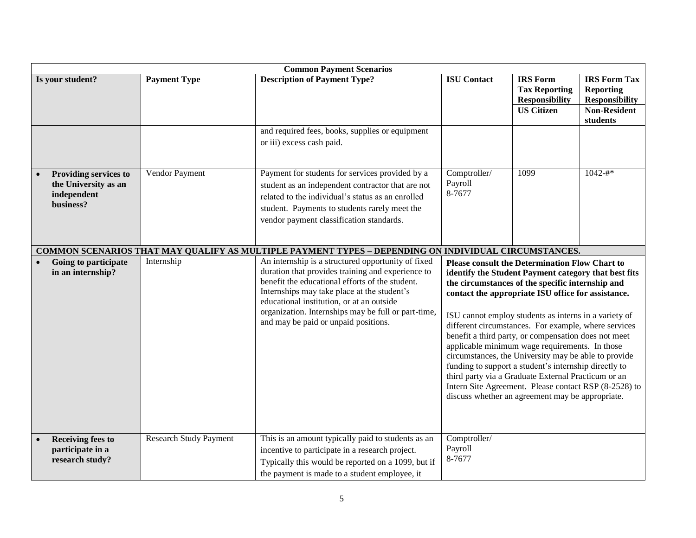| <b>Common Payment Scenarios</b>                                                  |                               |                                                                                                                                                                                                                                                                                                                                                       |                                                                                                                                                                                                                                                                                                                                                                                                                                                                                                                                                                                                                                                                                                                                         |                                                                                       |                                                                                                     |  |
|----------------------------------------------------------------------------------|-------------------------------|-------------------------------------------------------------------------------------------------------------------------------------------------------------------------------------------------------------------------------------------------------------------------------------------------------------------------------------------------------|-----------------------------------------------------------------------------------------------------------------------------------------------------------------------------------------------------------------------------------------------------------------------------------------------------------------------------------------------------------------------------------------------------------------------------------------------------------------------------------------------------------------------------------------------------------------------------------------------------------------------------------------------------------------------------------------------------------------------------------------|---------------------------------------------------------------------------------------|-----------------------------------------------------------------------------------------------------|--|
| Is your student?                                                                 | <b>Payment Type</b>           | <b>Description of Payment Type?</b>                                                                                                                                                                                                                                                                                                                   | <b>ISU</b> Contact                                                                                                                                                                                                                                                                                                                                                                                                                                                                                                                                                                                                                                                                                                                      | <b>IRS</b> Form<br><b>Tax Reporting</b><br><b>Responsibility</b><br><b>US Citizen</b> | <b>IRS Form Tax</b><br><b>Reporting</b><br><b>Responsibility</b><br><b>Non-Resident</b><br>students |  |
|                                                                                  |                               | and required fees, books, supplies or equipment<br>or iii) excess cash paid.                                                                                                                                                                                                                                                                          |                                                                                                                                                                                                                                                                                                                                                                                                                                                                                                                                                                                                                                                                                                                                         |                                                                                       |                                                                                                     |  |
| <b>Providing services to</b><br>the University as an<br>independent<br>business? | Vendor Payment                | Payment for students for services provided by a<br>student as an independent contractor that are not<br>related to the individual's status as an enrolled<br>student. Payments to students rarely meet the<br>vendor payment classification standards.                                                                                                | Comptroller/<br>Payroll<br>8-7677                                                                                                                                                                                                                                                                                                                                                                                                                                                                                                                                                                                                                                                                                                       | 1099                                                                                  | $1042 - #*$                                                                                         |  |
|                                                                                  |                               | COMMON SCENARIOS THAT MAY QUALIFY AS MULTIPLE PAYMENT TYPES - DEPENDING ON INDIVIDUAL CIRCUMSTANCES.                                                                                                                                                                                                                                                  |                                                                                                                                                                                                                                                                                                                                                                                                                                                                                                                                                                                                                                                                                                                                         |                                                                                       |                                                                                                     |  |
| Going to participate<br>in an internship?                                        | Internship                    | An internship is a structured opportunity of fixed<br>duration that provides training and experience to<br>benefit the educational efforts of the student.<br>Internships may take place at the student's<br>educational institution, or at an outside<br>organization. Internships may be full or part-time,<br>and may be paid or unpaid positions. | <b>Please consult the Determination Flow Chart to</b><br>identify the Student Payment category that best fits<br>the circumstances of the specific internship and<br>contact the appropriate ISU office for assistance.<br>ISU cannot employ students as interns in a variety of<br>different circumstances. For example, where services<br>benefit a third party, or compensation does not meet<br>applicable minimum wage requirements. In those<br>circumstances, the University may be able to provide<br>funding to support a student's internship directly to<br>third party via a Graduate External Practicum or an<br>Intern Site Agreement. Please contact RSP (8-2528) to<br>discuss whether an agreement may be appropriate. |                                                                                       |                                                                                                     |  |
| <b>Receiving fees to</b><br>participate in a<br>research study?                  | <b>Research Study Payment</b> | This is an amount typically paid to students as an<br>incentive to participate in a research project.<br>Typically this would be reported on a 1099, but if<br>the payment is made to a student employee, it                                                                                                                                          | Comptroller/<br>Payroll<br>8-7677                                                                                                                                                                                                                                                                                                                                                                                                                                                                                                                                                                                                                                                                                                       |                                                                                       |                                                                                                     |  |